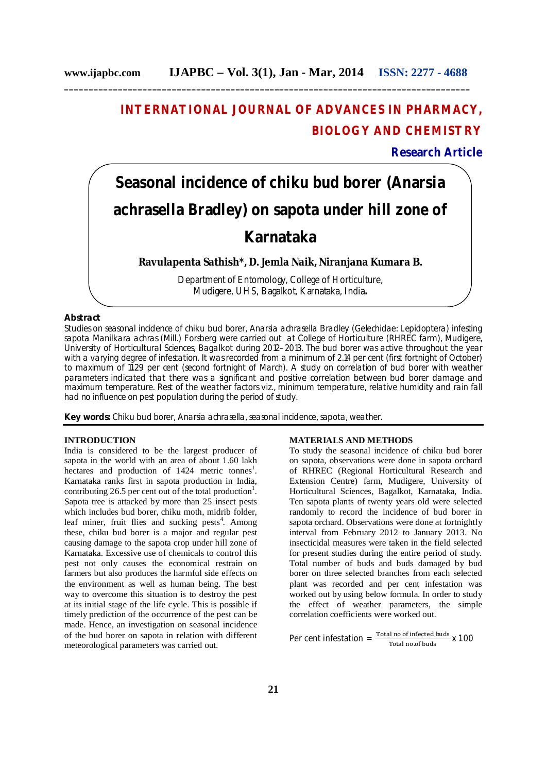**\_\_\_\_\_\_\_\_\_\_\_\_\_\_\_\_\_\_\_\_\_\_\_\_\_\_\_\_\_\_\_\_\_\_\_\_\_\_\_\_\_\_\_\_\_\_\_\_\_\_\_\_\_\_\_\_\_\_\_\_\_\_\_\_\_\_\_\_\_\_\_\_\_\_\_\_\_\_\_\_\_\_\_**

# **INTERNATIONAL JOURNAL OF ADVANCES IN PHARMACY, BIOLOGY AND CHEMISTRY**

**Research Article**

# **Seasonal incidence of chiku bud borer (***Anarsia achrasella* **Bradley) on sapota under hill zone of Karnataka**

**Ravulapenta Sathish\*, D. Jemla Naik, Niranjana Kumara B.**

Department of Entomology, College of Horticulture, Mudigere, UHS, Bagalkot, Karnataka, India**.**

# **Abstract**

Studies on seasonal incidence of chiku bud borer, *Anarsia achrasella* Bradley (Gelechidae: Lepidoptera) infesting sapota *Manilkara achras* (Mill.) Forsberg were carried out at College of Horticulture (RHREC farm), Mudigere, University of Horticultural Sciences, Bagalkot during 2012–2013. The bud borer was active throughout the year with a varying degree of infestation. It was recorded from a minimum of 2.14 per cent (first fortnight of October) to maximum of 11.29 per cent (second fortnight of March). A study on correlation of bud borer with weather parameters indicated that there was a significant and positive correlation between bud borer damage and maximum temperature. Rest of the weather factors *viz*., minimum temperature, relative humidity and rain fall had no influence on pest population during the period of study.

**Key words:** Chiku bud borer, *Anarsia achrasella,* seasonal incidence, sapota, weather.

## **INTRODUCTION**

India is considered to be the largest producer of sapota in the world with an area of about 1.60 lakh hectares and production of  $1424$  metric tonnes<sup>1</sup>. Karnataka ranks first in sapota production in India, contributing 26.5 per cent out of the total production<sup>1</sup>. Sapota tree is attacked by more than 25 insect pests which includes bud borer, chiku moth, midrib folder, leaf miner, fruit flies and sucking pests<sup>4</sup>. Among these, chiku bud borer is a major and regular pest causing damage to the sapota crop under hill zone of Karnataka. Excessive use of chemicals to control this pest not only causes the economical restrain on farmers but also produces the harmful side effects on the environment as well as human being. The best way to overcome this situation is to destroy the pest at its initial stage of the life cycle. This is possible if timely prediction of the occurrence of the pest can be made. Hence, an investigation on seasonal incidence of the bud borer on sapota in relation with different meteorological parameters was carried out.

## **MATERIALS AND METHODS**

To study the seasonal incidence of chiku bud borer on sapota, observations were done in sapota orchard of RHREC (Regional Horticultural Research and Extension Centre) farm, Mudigere, University of Horticultural Sciences, Bagalkot, Karnataka, India. Ten sapota plants of twenty years old were selected randomly to record the incidence of bud borer in sapota orchard. Observations were done at fortnightly interval from February 2012 to January 2013. No insecticidal measures were taken in the field selected for present studies during the entire period of study. Total number of buds and buds damaged by bud borer on three selected branches from each selected plant was recorded and per cent infestation was worked out by using below formula. In order to study the effect of weather parameters, the simple correlation coefficients were worked out.

Per cent infestation  $=\frac{\text{Total no. of infected buds}}{\text{Total no. of buls}} \times 100$ Total no.of buds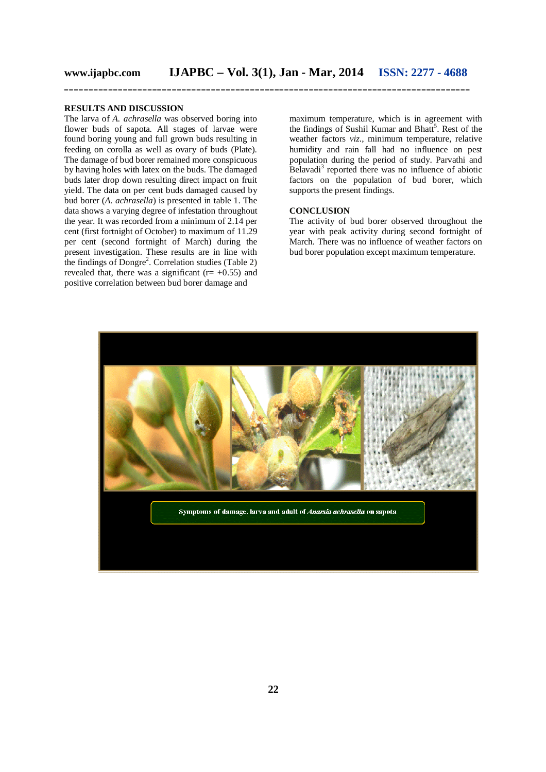#### **RESULTS AND DISCUSSION**

The larva of *A. achrasella* was observed boring into flower buds of sapota. All stages of larvae were found boring young and full grown buds resulting in feeding on corolla as well as ovary of buds (Plate). The damage of bud borer remained more conspicuous by having holes with latex on the buds. The damaged buds later drop down resulting direct impact on fruit yield. The data on per cent buds damaged caused by bud borer (*A. achrasella*) is presented in table 1. The data shows a varying degree of infestation throughout the year. It was recorded from a minimum of 2.14 per cent (first fortnight of October) to maximum of 11.29 per cent (second fortnight of March) during the present investigation. These results are in line with the findings of  $Dongre<sup>2</sup>$ . Correlation studies (Table 2) revealed that, there was a significant ( $r=+0.55$ ) and positive correlation between bud borer damage and

maximum temperature, which is in agreement with the findings of Sushil Kumar and Bhatt<sup>5</sup>. Rest of the weather factors *viz*., minimum temperature, relative humidity and rain fall had no influence on pest population during the period of study. Parvathi and Belavadi<sup>3</sup> reported there was no influence of abiotic factors on the population of bud borer, which supports the present findings.

#### **CONCLUSION**

The activity of bud borer observed throughout the year with peak activity during second fortnight of March. There was no influence of weather factors on bud borer population except maximum temperature.